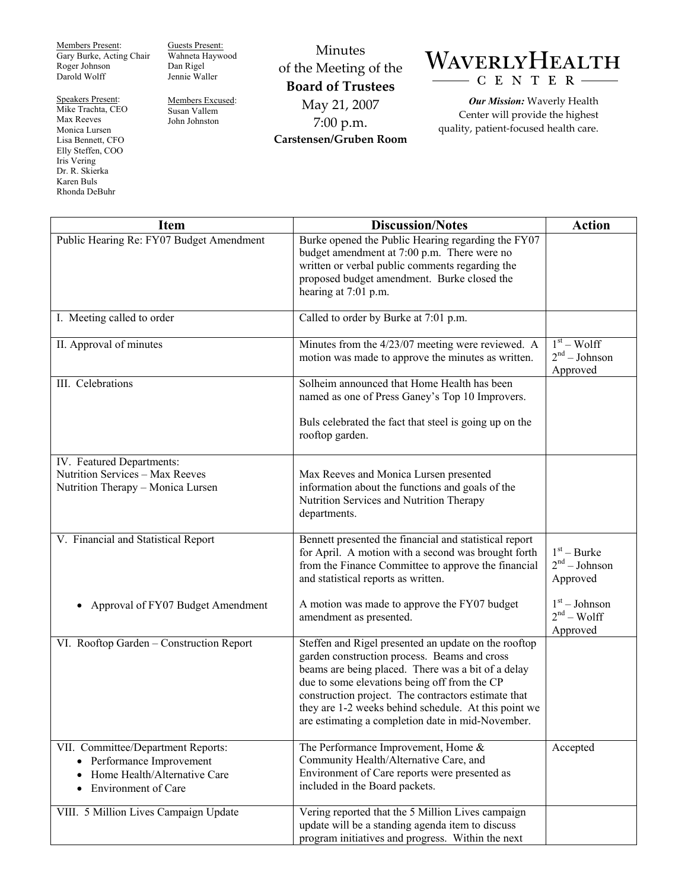Members Present: Gary Burke, Acting Chair Roger Johnson Darold Wolff

Speakers Present: Mike Trachta, CEO Max Reeves Monica Lursen Lisa Bennett, CFO Elly Steffen, COO Iris Vering Dr. R. Skierka Karen Buls Rhonda DeBuhr

Guests Present: Wahneta Haywood Dan Rigel Jennie Waller

Members Excused: Susan Vallem John Johnston

Minutes of the Meeting of the **Board of Trustees**  May 21, 2007 7:00 p.m. **Carstensen/Gruben Room** 

## WAVERLYHEALTH CENTER

*Our Mission:* Waverly Health Center will provide the highest quality, patient-focused health care.

| <b>Item</b>                                                                                                                                    | <b>Discussion/Notes</b>                                                                                                                                                                                                                                                                                                                                                        | <b>Action</b>                                |
|------------------------------------------------------------------------------------------------------------------------------------------------|--------------------------------------------------------------------------------------------------------------------------------------------------------------------------------------------------------------------------------------------------------------------------------------------------------------------------------------------------------------------------------|----------------------------------------------|
| Public Hearing Re: FY07 Budget Amendment                                                                                                       | Burke opened the Public Hearing regarding the FY07<br>budget amendment at 7:00 p.m. There were no<br>written or verbal public comments regarding the<br>proposed budget amendment. Burke closed the<br>hearing at 7:01 p.m.                                                                                                                                                    |                                              |
| I. Meeting called to order                                                                                                                     | Called to order by Burke at 7:01 p.m.                                                                                                                                                                                                                                                                                                                                          |                                              |
| II. Approval of minutes                                                                                                                        | Minutes from the 4/23/07 meeting were reviewed. A<br>motion was made to approve the minutes as written.                                                                                                                                                                                                                                                                        | $1st - Wolff$<br>$2nd - Johnson$<br>Approved |
| III. Celebrations                                                                                                                              | Solheim announced that Home Health has been<br>named as one of Press Ganey's Top 10 Improvers.                                                                                                                                                                                                                                                                                 |                                              |
|                                                                                                                                                | Buls celebrated the fact that steel is going up on the<br>rooftop garden.                                                                                                                                                                                                                                                                                                      |                                              |
| IV. Featured Departments:<br>Nutrition Services - Max Reeves<br>Nutrition Therapy - Monica Lursen                                              | Max Reeves and Monica Lursen presented<br>information about the functions and goals of the<br>Nutrition Services and Nutrition Therapy<br>departments.                                                                                                                                                                                                                         |                                              |
| V. Financial and Statistical Report                                                                                                            | Bennett presented the financial and statistical report<br>for April. A motion with a second was brought forth<br>from the Finance Committee to approve the financial<br>and statistical reports as written.                                                                                                                                                                    | $1st - Burke$<br>$2nd - Johnson$<br>Approved |
| Approval of FY07 Budget Amendment<br>$\bullet$                                                                                                 | A motion was made to approve the FY07 budget<br>amendment as presented.                                                                                                                                                                                                                                                                                                        | $1st - Johnson$<br>$2nd - Wolf$<br>Approved  |
| VI. Rooftop Garden - Construction Report                                                                                                       | Steffen and Rigel presented an update on the rooftop<br>garden construction process. Beams and cross<br>beams are being placed. There was a bit of a delay<br>due to some elevations being off from the CP<br>construction project. The contractors estimate that<br>they are 1-2 weeks behind schedule. At this point we<br>are estimating a completion date in mid-November. |                                              |
| VII. Committee/Department Reports:<br>Performance Improvement<br>$\bullet$<br>Home Health/Alternative Care<br>Environment of Care<br>$\bullet$ | The Performance Improvement, Home &<br>Community Health/Alternative Care, and<br>Environment of Care reports were presented as<br>included in the Board packets.                                                                                                                                                                                                               | Accepted                                     |
| VIII. 5 Million Lives Campaign Update                                                                                                          | Vering reported that the 5 Million Lives campaign<br>update will be a standing agenda item to discuss<br>program initiatives and progress. Within the next                                                                                                                                                                                                                     |                                              |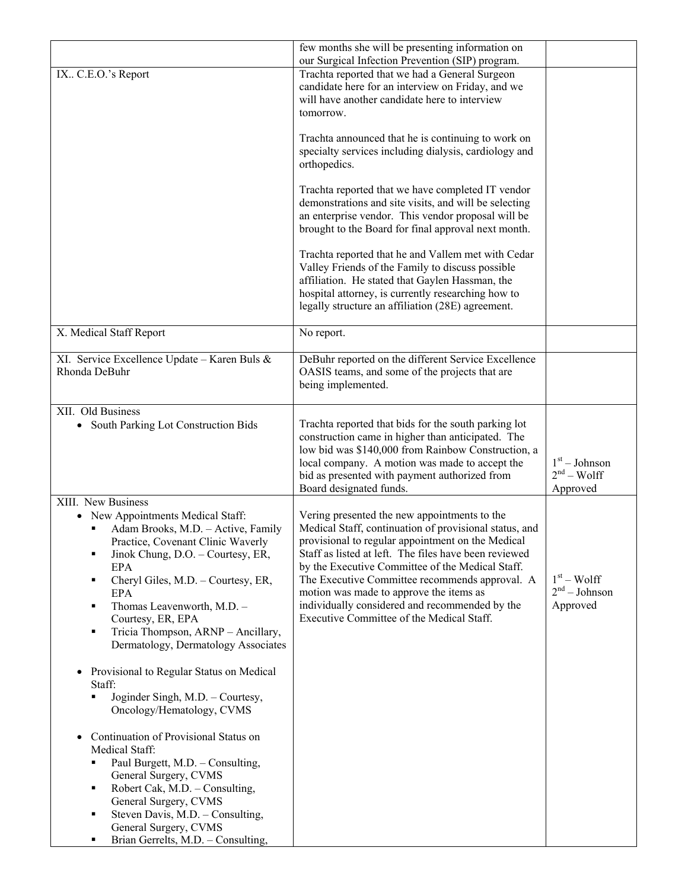|                                                                                                                                                                                                                                                                                                                                                                                                                                          | few months she will be presenting information on                                                                                                                                                                                                                                                                                                                                                                                                                     |                                             |
|------------------------------------------------------------------------------------------------------------------------------------------------------------------------------------------------------------------------------------------------------------------------------------------------------------------------------------------------------------------------------------------------------------------------------------------|----------------------------------------------------------------------------------------------------------------------------------------------------------------------------------------------------------------------------------------------------------------------------------------------------------------------------------------------------------------------------------------------------------------------------------------------------------------------|---------------------------------------------|
| IX C.E.O.'s Report                                                                                                                                                                                                                                                                                                                                                                                                                       | our Surgical Infection Prevention (SIP) program.<br>Trachta reported that we had a General Surgeon<br>candidate here for an interview on Friday, and we<br>will have another candidate here to interview<br>tomorrow.                                                                                                                                                                                                                                                |                                             |
|                                                                                                                                                                                                                                                                                                                                                                                                                                          | Trachta announced that he is continuing to work on<br>specialty services including dialysis, cardiology and<br>orthopedics.                                                                                                                                                                                                                                                                                                                                          |                                             |
|                                                                                                                                                                                                                                                                                                                                                                                                                                          | Trachta reported that we have completed IT vendor<br>demonstrations and site visits, and will be selecting<br>an enterprise vendor. This vendor proposal will be<br>brought to the Board for final approval next month.                                                                                                                                                                                                                                              |                                             |
|                                                                                                                                                                                                                                                                                                                                                                                                                                          | Trachta reported that he and Vallem met with Cedar<br>Valley Friends of the Family to discuss possible<br>affiliation. He stated that Gaylen Hassman, the<br>hospital attorney, is currently researching how to<br>legally structure an affiliation (28E) agreement.                                                                                                                                                                                                 |                                             |
| X. Medical Staff Report                                                                                                                                                                                                                                                                                                                                                                                                                  | No report.                                                                                                                                                                                                                                                                                                                                                                                                                                                           |                                             |
| XI. Service Excellence Update - Karen Buls &<br>Rhonda DeBuhr                                                                                                                                                                                                                                                                                                                                                                            | DeBuhr reported on the different Service Excellence<br>OASIS teams, and some of the projects that are<br>being implemented.                                                                                                                                                                                                                                                                                                                                          |                                             |
| XII. Old Business<br>South Parking Lot Construction Bids                                                                                                                                                                                                                                                                                                                                                                                 | Trachta reported that bids for the south parking lot<br>construction came in higher than anticipated. The<br>low bid was \$140,000 from Rainbow Construction, a<br>local company. A motion was made to accept the<br>bid as presented with payment authorized from<br>Board designated funds.                                                                                                                                                                        | $1st - Johnson$<br>$2nd - Wolf$<br>Approved |
| XIII. New Business<br>• New Appointments Medical Staff:<br>Adam Brooks, M.D. - Active, Family<br>Practice, Covenant Clinic Waverly<br>Jinok Chung, D.O. - Courtesy, ER,<br>٠<br>EPA<br>Cheryl Giles, M.D. - Courtesy, ER,<br>п<br>EPA<br>Thomas Leavenworth, M.D. -<br>٠<br>Courtesy, ER, EPA<br>Tricia Thompson, ARNP - Ancillary,<br>п<br>Dermatology, Dermatology Associates<br>Provisional to Regular Status on Medical<br>$\bullet$ | Vering presented the new appointments to the<br>Medical Staff, continuation of provisional status, and<br>provisional to regular appointment on the Medical<br>Staff as listed at left. The files have been reviewed<br>by the Executive Committee of the Medical Staff.<br>The Executive Committee recommends approval. A<br>motion was made to approve the items as<br>individually considered and recommended by the<br>Executive Committee of the Medical Staff. | $1st - Wolf$<br>$2nd - Johnson$<br>Approved |
| Staff:<br>Joginder Singh, M.D. - Courtesy,<br>٠<br>Oncology/Hematology, CVMS                                                                                                                                                                                                                                                                                                                                                             |                                                                                                                                                                                                                                                                                                                                                                                                                                                                      |                                             |
| Continuation of Provisional Status on<br>$\bullet$<br>Medical Staff:<br>Paul Burgett, M.D. - Consulting,<br>٠<br>General Surgery, CVMS<br>Robert Cak, M.D. - Consulting,<br>п<br>General Surgery, CVMS<br>Steven Davis, M.D. - Consulting,<br>п<br>General Surgery, CVMS<br>Brian Gerrelts, M.D. - Consulting,<br>п                                                                                                                      |                                                                                                                                                                                                                                                                                                                                                                                                                                                                      |                                             |